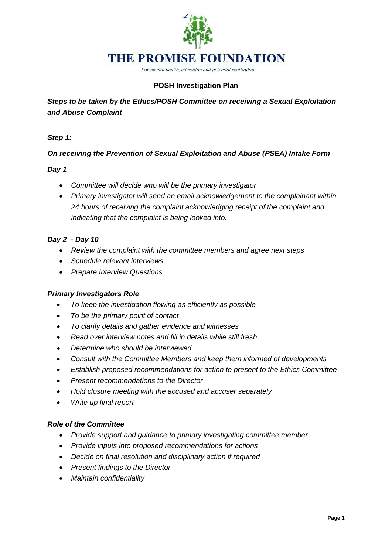

For mental health, education and potential realisation

# **POSH Investigation Plan**

*Steps to be taken by the Ethics/POSH Committee on receiving a Sexual Exploitation and Abuse Complaint*

*Step 1:*

### *On receiving the Prevention of Sexual Exploitation and Abuse (PSEA) Intake Form*

#### *Day 1*

- *Committee will decide who will be the primary investigator*
- *Primary investigator will send an email acknowledgement to the complainant within 24 hours of receiving the complaint acknowledging receipt of the complaint and indicating that the complaint is being looked into.*

### *Day 2 - Day 10*

- *Review the complaint with the committee members and agree next steps*
- *Schedule relevant interviews*
- *Prepare Interview Questions*

#### *Primary Investigators Role*

- *To keep the investigation flowing as efficiently as possible*
- *To be the primary point of contact*
- *To clarify details and gather evidence and witnesses*
- *Read over interview notes and fill in details while still fresh*
- *Determine who should be interviewed*
- *Consult with the Committee Members and keep them informed of developments*
- *Establish proposed recommendations for action to present to the Ethics Committee*
- *Present recommendations to the Director*
- *Hold closure meeting with the accused and accuser separately*
- *Write up final report*

#### *Role of the Committee*

- *Provide support and guidance to primary investigating committee member*
- *Provide inputs into proposed recommendations for actions*
- *Decide on final resolution and disciplinary action if required*
- *Present findings to the Director*
- *Maintain confidentiality*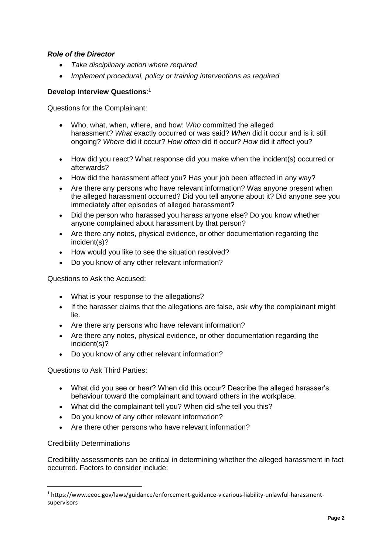### *Role of the Director*

- *Take disciplinary action where required*
- *Implement procedural, policy or training interventions as required*

#### **Develop Interview Questions**: 1

Questions for the Complainant:

- Who, what, when, where, and how: *Who* committed the alleged harassment? *What* exactly occurred or was said? *When* did it occur and is it still ongoing? *Where* did it occur? *How often* did it occur? *How* did it affect you?
- How did you react? What response did you make when the incident(s) occurred or afterwards?
- How did the harassment affect you? Has your job been affected in any way?
- Are there any persons who have relevant information? Was anyone present when the alleged harassment occurred? Did you tell anyone about it? Did anyone see you immediately after episodes of alleged harassment?
- Did the person who harassed you harass anyone else? Do you know whether anyone complained about harassment by that person?
- Are there any notes, physical evidence, or other documentation regarding the incident(s)?
- How would you like to see the situation resolved?
- Do you know of any other relevant information?

Questions to Ask the Accused:

- What is your response to the allegations?
- If the harasser claims that the allegations are false, ask why the complainant might lie.
- Are there any persons who have relevant information?
- Are there any notes, physical evidence, or other documentation regarding the incident(s)?
- Do you know of any other relevant information?

Questions to Ask Third Parties:

- What did you see or hear? When did this occur? Describe the alleged harasser's behaviour toward the complainant and toward others in the workplace.
- What did the complainant tell you? When did s/he tell you this?
- Do you know of any other relevant information?
- Are there other persons who have relevant information?

#### Credibility Determinations

<u>.</u>

Credibility assessments can be critical in determining whether the alleged harassment in fact occurred. Factors to consider include:

<sup>1</sup> https://www.eeoc.gov/laws/guidance/enforcement-guidance-vicarious-liability-unlawful-harassmentsupervisors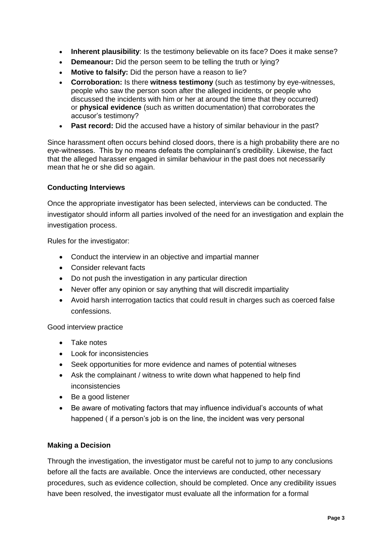- **Inherent plausibility**: Is the testimony believable on its face? Does it make sense?
- **Demeanour:** Did the person seem to be telling the truth or lying?
- **Motive to falsify:** Did the person have a reason to lie?
- **Corroboration:** Is there **witness testimony** (such as testimony by eye-witnesses, people who saw the person soon after the alleged incidents, or people who discussed the incidents with him or her at around the time that they occurred) or **physical evidence** (such as written documentation) that corroborates the accusor's testimony?
- **Past record:** Did the accused have a history of similar behaviour in the past?

Since harassment often occurs behind closed doors, there is a high probability there are no eye-witnesses. This by no means defeats the complainant's credibility. Likewise, the fact that the alleged harasser engaged in similar behaviour in the past does not necessarily mean that he or she did so again.

#### **Conducting Interviews**

Once the appropriate investigator has been selected, interviews can be conducted. The investigator should inform all parties involved of the need for an investigation and explain the investigation process.

Rules for the investigator:

- Conduct the interview in an objective and impartial manner
- Consider relevant facts
- Do not push the investigation in any particular direction
- Never offer any opinion or say anything that will discredit impartiality
- Avoid harsh interrogation tactics that could result in charges such as coerced false confessions.

Good interview practice

- Take notes
- Look for inconsistencies
- Seek opportunities for more evidence and names of potential witneses
- Ask the complainant / witness to write down what happened to help find inconsistencies
- Be a good listener
- Be aware of motivating factors that may influence individual's accounts of what happened ( if a person's job is on the line, the incident was very personal

#### **Making a Decision**

Through the investigation, the investigator must be careful not to jump to any conclusions before all the facts are available. Once the interviews are conducted, other necessary procedures, such as evidence collection, should be completed. Once any credibility issues have been resolved, the investigator must evaluate all the information for a formal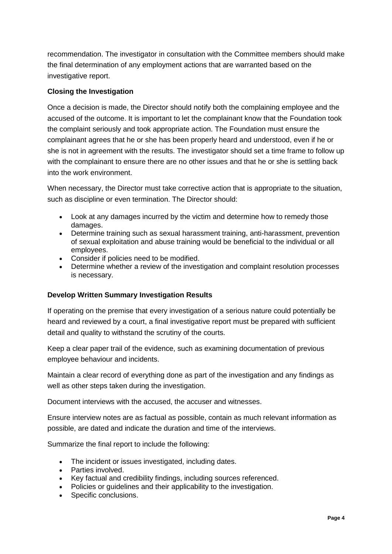recommendation. The investigator in consultation with the Committee members should make the final determination of any employment actions that are warranted based on the investigative report.

# **Closing the Investigation**

Once a decision is made, the Director should notify both the complaining employee and the accused of the outcome. It is important to let the complainant know that the Foundation took the complaint seriously and took appropriate action. The Foundation must ensure the complainant agrees that he or she has been properly heard and understood, even if he or she is not in agreement with the results. The investigator should set a time frame to follow up with the complainant to ensure there are no other issues and that he or she is settling back into the work environment.

When necessary, the Director must take corrective action that is appropriate to the situation, such as discipline or even termination. The Director should:

- Look at any damages incurred by the victim and determine how to remedy those damages.
- Determine training such as sexual harassment training, anti-harassment, prevention of sexual exploitation and abuse training would be beneficial to the individual or all employees.
- Consider if policies need to be modified.
- Determine whether a review of the investigation and complaint resolution processes is necessary.

## **Develop Written Summary Investigation Results**

If operating on the premise that every investigation of a serious nature could potentially be heard and reviewed by a court, a final investigative report must be prepared with sufficient detail and quality to withstand the scrutiny of the courts.

Keep a clear paper trail of the evidence, such as examining documentation of previous employee behaviour and incidents.

Maintain a clear record of everything done as part of the investigation and any findings as well as other steps taken during the investigation.

Document interviews with the accused, the accuser and witnesses.

Ensure interview notes are as factual as possible, contain as much relevant information as possible, are dated and indicate the duration and time of the interviews.

Summarize the final report to include the following:

- The incident or issues investigated, including dates.
- Parties involved.
- Key factual and credibility findings, including sources referenced.
- Policies or guidelines and their applicability to the investigation.
- Specific conclusions.